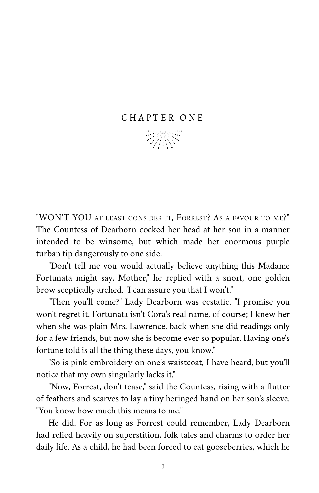## CHAPTER ONE



"WON'T YOU AT LEAST CONSIDER IT, FORREST? AS <sup>A</sup> FAVOUR TO ME?" The Countess of Dearborn cocked her head at her son in a manner intended to be winsome, but which made her enormous purple turban tip dangerously to one side.

"Don't tell me you would actually believe anything this Madame Fortunata might say, Mother," he replied with a snort, one golden brow sceptically arched. "I can assure you that I won't."

"Then you'll come?" Lady Dearborn was ecstatic. "I promise you won't regret it. Fortunata isn't Cora's real name, of course; I knew her when she was plain Mrs. Lawrence, back when she did readings only for a few friends, but now she is become ever so popular. Having one's fortune told is all the thing these days, you know."

"So is pink embroidery on one's waistcoat, I have heard, but you'll notice that my own singularly lacks it."

"Now, Forrest, don't tease," said the Countess, rising with a flutter of feathers and scarves to lay a tiny beringed hand on her son's sleeve. "You know how much this means to me."

He did. For as long as Forrest could remember, Lady Dearborn had relied heavily on superstition, folk tales and charms to order her daily life. As a child, he had been forced to eat gooseberries, which he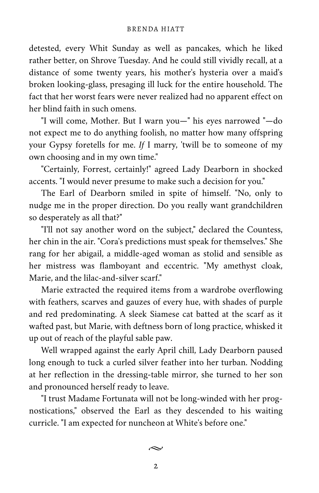detested, every Whit Sunday as well as pancakes, which he liked rather better, on Shrove Tuesday. And he could still vividly recall, at a distance of some twenty years, his mother's hysteria over a maid's broken looking-glass, presaging ill luck for the entire household. The fact that her worst fears were never realized had no apparent effect on her blind faith in such omens.

"I will come, Mother. But I warn you—" his eyes narrowed "—do not expect me to do anything foolish, no matter how many offspring your Gypsy foretells for me. *If* I marry, 'twill be to someone of my own choosing and in my own time."

"Certainly, Forrest, certainly!" agreed Lady Dearborn in shocked accents. "I would never presume to make such a decision for you."

The Earl of Dearborn smiled in spite of himself. "No, only to nudge me in the proper direction. Do you really want grandchildren so desperately as all that?"

"I'll not say another word on the subject," declared the Countess, her chin in the air. "Cora's predictions must speak for themselves." She rang for her abigail, a middle-aged woman as stolid and sensible as her mistress was flamboyant and eccentric. "My amethyst cloak, Marie, and the lilac-and-silver scarf."

Marie extracted the required items from a wardrobe overflowing with feathers, scarves and gauzes of every hue, with shades of purple and red predominating. A sleek Siamese cat batted at the scarf as it wafted past, but Marie, with deftness born of long practice, whisked it up out of reach of the playful sable paw.

Well wrapped against the early April chill, Lady Dearborn paused long enough to tuck a curled silver feather into her turban. Nodding at her reflection in the dressing-table mirror, she turned to her son and pronounced herself ready to leave.

"I trust Madame Fortunata will not be long-winded with her prog‐ nostications," observed the Earl as they descended to his waiting curricle. "I am expected for nuncheon at White's before one."

2

 $\sim$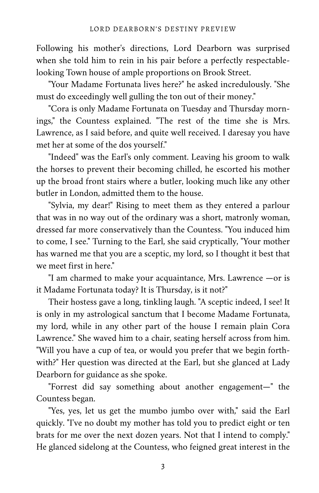Following his mother's directions, Lord Dearborn was surprised when she told him to rein in his pair before a perfectly respectablelooking Town house of ample proportions on Brook Street.

"Your Madame Fortunata lives here?" he asked incredulously. "She must do exceedingly well gulling the ton out of their money."

"Cora is only Madame Fortunata on Tuesday and Thursday morn‐ ings," the Countess explained. "The rest of the time she is Mrs. Lawrence, as I said before, and quite well received. I daresay you have met her at some of the dos yourself."

"Indeed" was the Earl's only comment. Leaving his groom to walk the horses to prevent their becoming chilled, he escorted his mother up the broad front stairs where a butler, looking much like any other butler in London, admitted them to the house.

"Sylvia, my dear!" Rising to meet them as they entered a parlour that was in no way out of the ordinary was a short, matronly woman, dressed far more conservatively than the Countess. "You induced him to come, I see." Turning to the Earl, she said cryptically, "Your mother has warned me that you are a sceptic, my lord, so I thought it best that we meet first in here."

"I am charmed to make your acquaintance, Mrs. Lawrence —or is it Madame Fortunata today? It is Thursday, is it not?"

Their hostess gave a long, tinkling laugh. "A sceptic indeed, I see! It is only in my astrological sanctum that I become Madame Fortunata, my lord, while in any other part of the house I remain plain Cora Lawrence." She waved him to a chair, seating herself across from him. "Will you have a cup of tea, or would you prefer that we begin forth‐ with?" Her question was directed at the Earl, but she glanced at Lady Dearborn for guidance as she spoke.

"Forrest did say something about another engagement—" the Countess began.

"Yes, yes, let us get the mumbo jumbo over with," said the Earl quickly. "I've no doubt my mother has told you to predict eight or ten brats for me over the next dozen years. Not that I intend to comply." He glanced sidelong at the Countess, who feigned great interest in the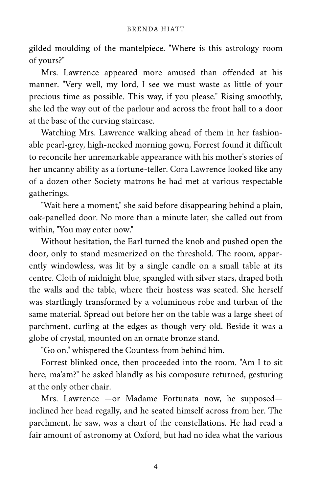## BRENDA HIATT

gilded moulding of the mantelpiece. "Where is this astrology room of yours?"

Mrs. Lawrence appeared more amused than offended at his manner. "Very well, my lord, I see we must waste as little of your precious time as possible. This way, if you please." Rising smoothly, she led the way out of the parlour and across the front hall to a door at the base of the curving staircase.

Watching Mrs. Lawrence walking ahead of them in her fashionable pearl-grey, high-necked morning gown, Forrest found it difficult to reconcile her unremarkable appearance with his mother's stories of her uncanny ability as a fortune-teller. Cora Lawrence looked like any of a dozen other Society matrons he had met at various respectable gatherings.

"Wait here a moment," she said before disappearing behind a plain, oak-panelled door. No more than a minute later, she called out from within, "You may enter now."

Without hesitation, the Earl turned the knob and pushed open the door, only to stand mesmerized on the threshold. The room, appar‐ ently windowless, was lit by a single candle on a small table at its centre. Cloth of midnight blue, spangled with silver stars, draped both the walls and the table, where their hostess was seated. She herself was startlingly transformed by a voluminous robe and turban of the same material. Spread out before her on the table was a large sheet of parchment, curling at the edges as though very old. Beside it was a globe of crystal, mounted on an ornate bronze stand.

"Go on," whispered the Countess from behind him.

Forrest blinked once, then proceeded into the room. "Am I to sit here, ma'am?" he asked blandly as his composure returned, gesturing at the only other chair.

Mrs. Lawrence —or Madame Fortunata now, he supposed inclined her head regally, and he seated himself across from her. The parchment, he saw, was a chart of the constellations. He had read a fair amount of astronomy at Oxford, but had no idea what the various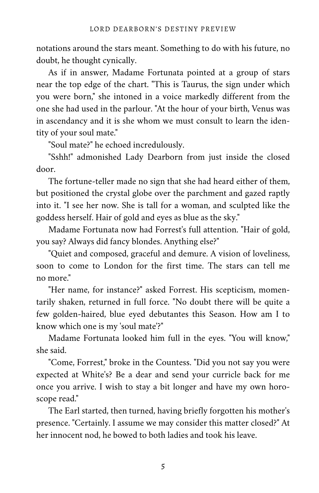notations around the stars meant. Something to do with his future, no doubt, he thought cynically.

As if in answer, Madame Fortunata pointed at a group of stars near the top edge of the chart. "This is Taurus, the sign under which you were born," she intoned in a voice markedly different from the one she had used in the parlour. "At the hour of your birth, Venus was in ascendancy and it is she whom we must consult to learn the identity of your soul mate."

"Soul mate?" he echoed incredulously.

"Sshh!" admonished Lady Dearborn from just inside the closed door.

The fortune-teller made no sign that she had heard either of them, but positioned the crystal globe over the parchment and gazed raptly into it. "I see her now. She is tall for a woman, and sculpted like the goddess herself. Hair of gold and eyes as blue as the sky."

Madame Fortunata now had Forrest's full attention. "Hair of gold, you say? Always did fancy blondes. Anything else?"

"Quiet and composed, graceful and demure. A vision of loveliness, soon to come to London for the first time. The stars can tell me no more."

"Her name, for instance?" asked Forrest. His scepticism, momen‐ tarily shaken, returned in full force. "No doubt there will be quite a few golden-haired, blue eyed debutantes this Season. How am I to know which one is my 'soul mate'?"

Madame Fortunata looked him full in the eyes. "You will know," she said.

"Come, Forrest," broke in the Countess. "Did you not say you were expected at White's? Be a dear and send your curricle back for me once you arrive. I wish to stay a bit longer and have my own horo‐ scope read."

The Earl started, then turned, having briefly forgotten his mother's presence. "Certainly. I assume we may consider this matter closed?" At her innocent nod, he bowed to both ladies and took his leave.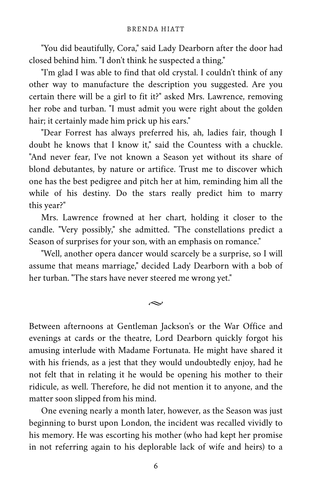"You did beautifully, Cora," said Lady Dearborn after the door had closed behind him. "I don't think he suspected a thing."

"I'm glad I was able to find that old crystal. I couldn't think of any other way to manufacture the description you suggested. Are you certain there will be a girl to fit it?" asked Mrs. Lawrence, removing her robe and turban. "I must admit you were right about the golden hair; it certainly made him prick up his ears."

"Dear Forrest has always preferred his, ah, ladies fair, though I doubt he knows that I know it," said the Countess with a chuckle. "And never fear, I've not known a Season yet without its share of blond debutantes, by nature or artifice. Trust me to discover which one has the best pedigree and pitch her at him, reminding him all the while of his destiny. Do the stars really predict him to marry this year?"

Mrs. Lawrence frowned at her chart, holding it closer to the candle. "Very possibly," she admitted. "The constellations predict a Season of surprises for your son, with an emphasis on romance."

"Well, another opera dancer would scarcely be a surprise, so I will assume that means marriage," decided Lady Dearborn with a bob of her turban. "The stars have never steered me wrong yet."

 $\rightsquigarrow$ 

Between afternoons at Gentleman Jackson's or the War Office and evenings at cards or the theatre, Lord Dearborn quickly forgot his amusing interlude with Madame Fortunata. He might have shared it with his friends, as a jest that they would undoubtedly enjoy, had he not felt that in relating it he would be opening his mother to their ridicule, as well. Therefore, he did not mention it to anyone, and the matter soon slipped from his mind.

One evening nearly a month later, however, as the Season was just beginning to burst upon London, the incident was recalled vividly to his memory. He was escorting his mother (who had kept her promise in not referring again to his deplorable lack of wife and heirs) to a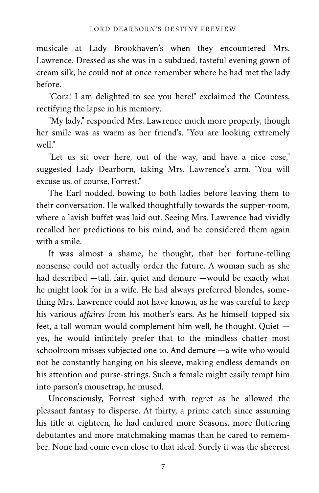musicale at Lady Brookhaven's when they encountered Mrs. Lawrence. Dressed as she was in a subdued, tasteful evening gown of cream silk, he could not at once remember where he had met the lady before.

"Cora! I am delighted to see you here!" exclaimed the Countess, rectifying the lapse in his memory.

"My lady," responded Mrs. Lawrence much more properly, though her smile was as warm as her friend's. "You are looking extremely well."

"Let us sit over here, out of the way, and have a nice cose," suggested Lady Dearborn, taking Mrs. Lawrence's arm. "You will excuse us, of course, Forrest."

The Earl nodded, bowing to both ladies before leaving them to their conversation. He walked thoughtfully towards the supper-room, where a lavish buffet was laid out. Seeing Mrs. Lawrence had vividly recalled her predictions to his mind, and he considered them again with a smile.

It was almost a shame, he thought, that her fortune-telling nonsense could not actually order the future. A woman such as she had described —tall, fair, quiet and demure —would be exactly what he might look for in a wife. He had always preferred blondes, something Mrs. Lawrence could not have known, as he was careful to keep his various *affaires* from his mother's ears. As he himself topped six feet, a tall woman would complement him well, he thought. Quiet yes, he would infinitely prefer that to the mindless chatter most schoolroom misses subjected one to. And demure —a wife who would not be constantly hanging on his sleeve, making endless demands on his attention and purse-strings. Such a female might easily tempt him into parson's mousetrap, he mused.

Unconsciously, Forrest sighed with regret as he allowed the pleasant fantasy to disperse. At thirty, a prime catch since assuming his title at eighteen, he had endured more Seasons, more fluttering debutantes and more matchmaking mamas than he cared to remem‐ ber. None had come even close to that ideal. Surely it was the sheerest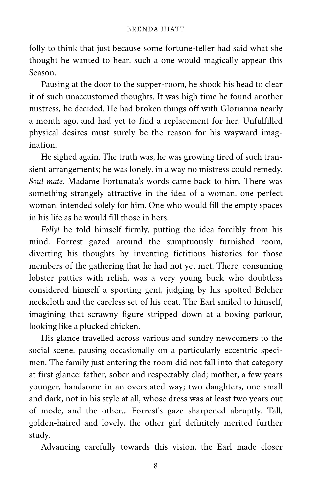folly to think that just because some fortune-teller had said what she thought he wanted to hear, such a one would magically appear this Season.

Pausing at the door to the supper-room, he shook his head to clear it of such unaccustomed thoughts. It was high time he found another mistress, he decided. He had broken things off with Glorianna nearly a month ago, and had yet to find a replacement for her. Unfulfilled physical desires must surely be the reason for his wayward imagination.

He sighed again. The truth was, he was growing tired of such transient arrangements; he was lonely, in a way no mistress could remedy. *Soul mate.* Madame Fortunata's words came back to him. There was something strangely attractive in the idea of a woman, one perfect woman, intended solely for him. One who would fill the empty spaces in his life as he would fill those in hers.

*Folly!* he told himself firmly, putting the idea forcibly from his mind. Forrest gazed around the sumptuously furnished room, diverting his thoughts by inventing fictitious histories for those members of the gathering that he had not yet met. There, consuming lobster patties with relish, was a very young buck who doubtless considered himself a sporting gent, judging by his spotted Belcher neckcloth and the careless set of his coat. The Earl smiled to himself, imagining that scrawny figure stripped down at a boxing parlour, looking like a plucked chicken.

His glance travelled across various and sundry newcomers to the social scene, pausing occasionally on a particularly eccentric specimen. The family just entering the room did not fall into that category at first glance: father, sober and respectably clad; mother, a few years younger, handsome in an overstated way; two daughters, one small and dark, not in his style at all, whose dress was at least two years out of mode, and the other... Forrest's gaze sharpened abruptly. Tall, golden-haired and lovely, the other girl definitely merited further study.

Advancing carefully towards this vision, the Earl made closer